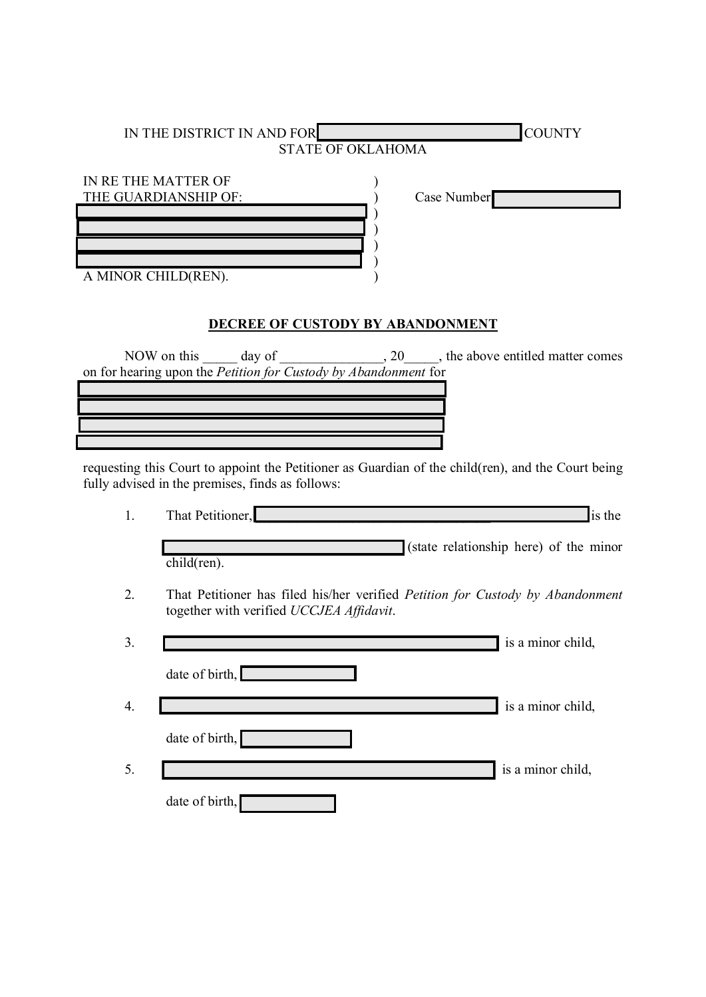| IN THE DISTRICT IN AND FOR                  | <b>COUNTY</b> |
|---------------------------------------------|---------------|
| <b>STATE OF OKLAHOMA</b>                    |               |
| IN RE THE MATTER OF<br>THE GUARDIANSHIP OF: | Case Number   |
|                                             |               |
|                                             |               |
|                                             |               |
| A MINOR CHILD(REN).                         |               |
|                                             |               |
| DECREE OF CUSTODY BY ABANDONMENT            |               |

NOW on this \_\_\_\_\_ day of \_\_\_\_\_\_\_\_\_\_\_\_\_\_, 20\_\_\_\_\_, the above entitled matter comes on for hearing upon the *Petition for Custody by Abandonment* for

requesting this Court to appoint the Petitioner as Guardian of the child(ren), and the Court being fully advised in the premises, finds as follows:

| 1. | That Petitioner,                         | is the                                                                                |
|----|------------------------------------------|---------------------------------------------------------------------------------------|
|    | child(ren).                              | (state relationship here) of the minor                                                |
| 2. | together with verified UCCJEA Affidavit. | That Petitioner has filed his/her verified <i>Petition for Custody by Abandonment</i> |
| 3. |                                          | is a minor child,                                                                     |
|    | date of birth,                           |                                                                                       |
| 4. |                                          | is a minor child,                                                                     |
|    | date of birth,                           |                                                                                       |
| 5. |                                          | is a minor child,                                                                     |

date of birth,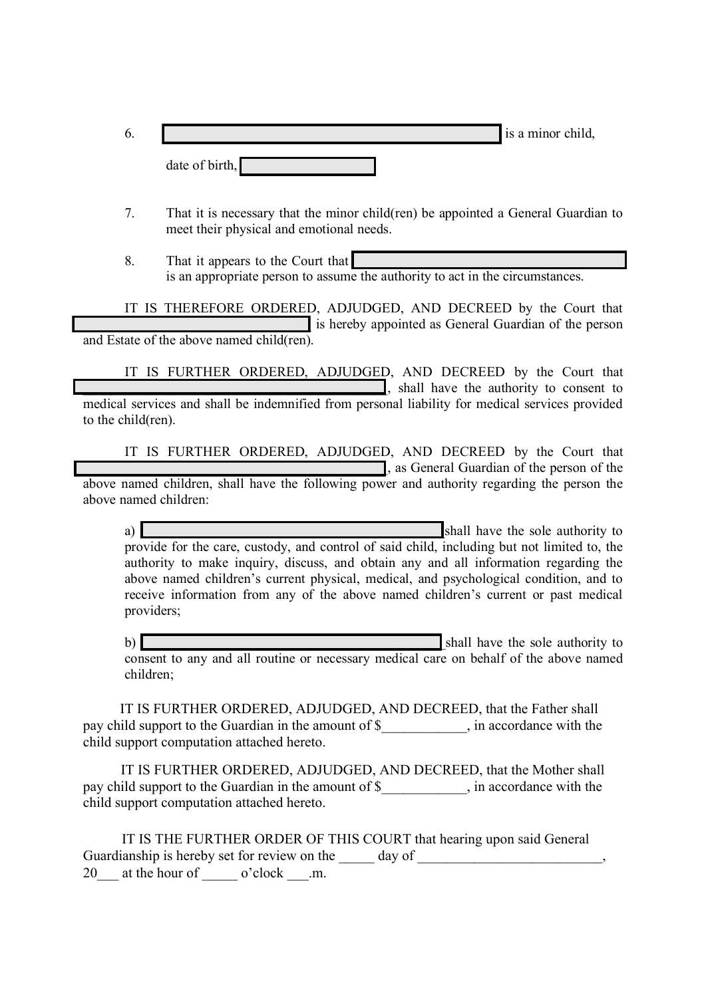| $\mathbf{0}$ |                | is a minor child, |
|--------------|----------------|-------------------|
|              | date of birth, |                   |

- 7. That it is necessary that the minor child(ren) be appointed a General Guardian to meet their physical and emotional needs.
- 8. That it appears to the Court that is an appropriate person to assume the authority to act in the circumstances.

IT IS THEREFORE ORDERED, ADJUDGED, AND DECREED by the Court that is hereby appointed as General Guardian of the person and Estate of the above named child(ren).

IT IS FURTHER ORDERED, ADJUDGED, AND DECREED by the Court that  $\blacksquare$ , shall have the authority to consent to medical services and shall be indemnified from personal liability for medical services provided to the child(ren).

IT IS FURTHER ORDERED, ADJUDGED, AND DECREED by the Court that \_\_\_\_\_\_\_\_\_\_\_\_\_\_\_\_\_\_\_\_\_\_\_\_\_\_\_\_\_\_\_\_\_\_\_\_\_\_\_\_\_\_\_\_, as General Guardian of the person of the above named children, shall have the following power and authority regarding the person the above named children:

a) and  $\Box$  and  $\Box$  and  $\Box$  and  $\Box$  and  $\Box$  and  $\Box$  and  $\Box$  and  $\Box$  are sole authority to provide for the care, custody, and control of said child, including but not limited to, the authority to make inquiry, discuss, and obtain any and all information regarding the above named children's current physical, medical, and psychological condition, and to receive information from any of the above named children's current or past medical providers;

b)  $\Box$ consent to any and all routine or necessary medical care on behalf of the above named children;

 IT IS FURTHER ORDERED, ADJUDGED, AND DECREED, that the Father shall pay child support to the Guardian in the amount of \$ \, in accordance with the child support computation attached hereto.

 IT IS FURTHER ORDERED, ADJUDGED, AND DECREED, that the Mother shall pay child support to the Guardian in the amount of \$\_\_\_\_\_\_\_\_\_\_\_\_, in accordance with the child support computation attached hereto.

|                                                     |  | IT IS THE FURTHER ORDER OF THIS COURT that hearing upon said General                                                               |  |
|-----------------------------------------------------|--|------------------------------------------------------------------------------------------------------------------------------------|--|
| Guardianship is hereby set for review on the day of |  | $\overline{\phantom{a}}$ , and the contract of the contract of the contract of $\overline{\phantom{a}}$ , $\overline{\phantom{a}}$ |  |
| 20 at the hour of o'clock .m.                       |  |                                                                                                                                    |  |